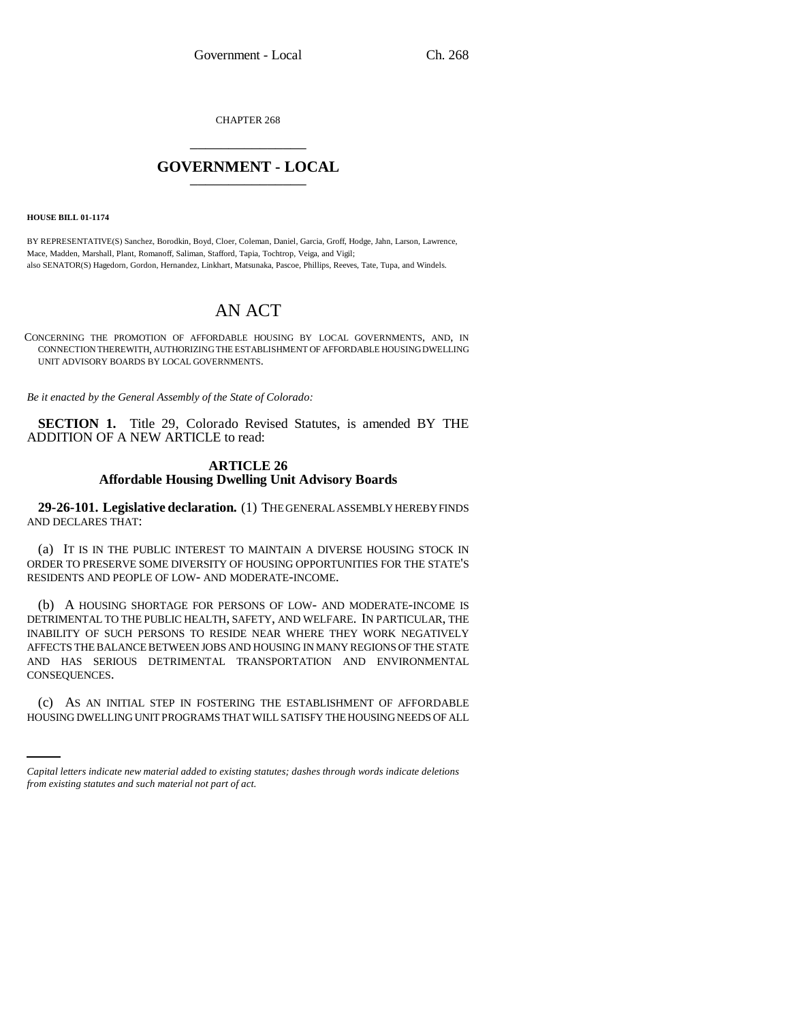CHAPTER 268 \_\_\_\_\_\_\_\_\_\_\_\_\_\_\_

## **GOVERNMENT - LOCAL** \_\_\_\_\_\_\_\_\_\_\_\_\_\_\_

**HOUSE BILL 01-1174**

BY REPRESENTATIVE(S) Sanchez, Borodkin, Boyd, Cloer, Coleman, Daniel, Garcia, Groff, Hodge, Jahn, Larson, Lawrence, Mace, Madden, Marshall, Plant, Romanoff, Saliman, Stafford, Tapia, Tochtrop, Veiga, and Vigil; also SENATOR(S) Hagedorn, Gordon, Hernandez, Linkhart, Matsunaka, Pascoe, Phillips, Reeves, Tate, Tupa, and Windels.

## AN ACT

CONCERNING THE PROMOTION OF AFFORDABLE HOUSING BY LOCAL GOVERNMENTS, AND, IN CONNECTION THEREWITH, AUTHORIZING THE ESTABLISHMENT OF AFFORDABLE HOUSING DWELLING UNIT ADVISORY BOARDS BY LOCAL GOVERNMENTS.

*Be it enacted by the General Assembly of the State of Colorado:*

**SECTION 1.** Title 29, Colorado Revised Statutes, is amended BY THE ADDITION OF A NEW ARTICLE to read:

## **ARTICLE 26 Affordable Housing Dwelling Unit Advisory Boards**

**29-26-101. Legislative declaration.** (1) THE GENERAL ASSEMBLY HEREBY FINDS AND DECLARES THAT:

(a) IT IS IN THE PUBLIC INTEREST TO MAINTAIN A DIVERSE HOUSING STOCK IN ORDER TO PRESERVE SOME DIVERSITY OF HOUSING OPPORTUNITIES FOR THE STATE'S RESIDENTS AND PEOPLE OF LOW- AND MODERATE-INCOME.

(b) A HOUSING SHORTAGE FOR PERSONS OF LOW- AND MODERATE-INCOME IS DETRIMENTAL TO THE PUBLIC HEALTH, SAFETY, AND WELFARE. IN PARTICULAR, THE INABILITY OF SUCH PERSONS TO RESIDE NEAR WHERE THEY WORK NEGATIVELY AFFECTS THE BALANCE BETWEEN JOBS AND HOUSING IN MANY REGIONS OF THE STATE AND HAS SERIOUS DETRIMENTAL TRANSPORTATION AND ENVIRONMENTAL CONSEQUENCES.

in<br>Salah (c) AS AN INITIAL STEP IN FOSTERING THE ESTABLISHMENT OF AFFORDABLE HOUSING DWELLING UNIT PROGRAMS THAT WILL SATISFY THE HOUSING NEEDS OF ALL

*Capital letters indicate new material added to existing statutes; dashes through words indicate deletions from existing statutes and such material not part of act.*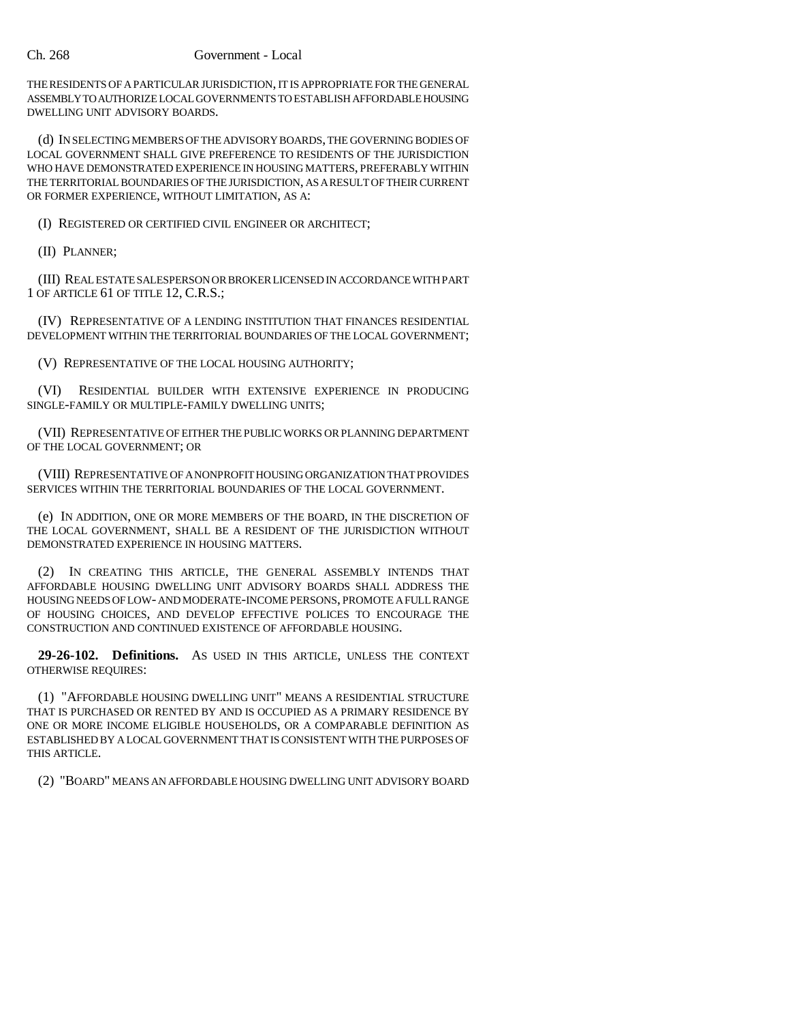## Ch. 268 Government - Local

THE RESIDENTS OF A PARTICULAR JURISDICTION, IT IS APPROPRIATE FOR THE GENERAL ASSEMBLY TO AUTHORIZE LOCAL GOVERNMENTS TO ESTABLISH AFFORDABLE HOUSING DWELLING UNIT ADVISORY BOARDS.

(d) IN SELECTING MEMBERS OF THE ADVISORY BOARDS, THE GOVERNING BODIES OF LOCAL GOVERNMENT SHALL GIVE PREFERENCE TO RESIDENTS OF THE JURISDICTION WHO HAVE DEMONSTRATED EXPERIENCE IN HOUSING MATTERS, PREFERABLY WITHIN THE TERRITORIAL BOUNDARIES OF THE JURISDICTION, AS A RESULT OF THEIR CURRENT OR FORMER EXPERIENCE, WITHOUT LIMITATION, AS A:

(I) REGISTERED OR CERTIFIED CIVIL ENGINEER OR ARCHITECT;

(II) PLANNER;

(III) REAL ESTATE SALESPERSON OR BROKER LICENSED IN ACCORDANCE WITH PART 1 OF ARTICLE 61 OF TITLE 12, C.R.S.;

(IV) REPRESENTATIVE OF A LENDING INSTITUTION THAT FINANCES RESIDENTIAL DEVELOPMENT WITHIN THE TERRITORIAL BOUNDARIES OF THE LOCAL GOVERNMENT;

(V) REPRESENTATIVE OF THE LOCAL HOUSING AUTHORITY;

(VI) RESIDENTIAL BUILDER WITH EXTENSIVE EXPERIENCE IN PRODUCING SINGLE-FAMILY OR MULTIPLE-FAMILY DWELLING UNITS;

(VII) REPRESENTATIVE OF EITHER THE PUBLIC WORKS OR PLANNING DEPARTMENT OF THE LOCAL GOVERNMENT; OR

(VIII) REPRESENTATIVE OF A NONPROFIT HOUSING ORGANIZATION THAT PROVIDES SERVICES WITHIN THE TERRITORIAL BOUNDARIES OF THE LOCAL GOVERNMENT.

(e) IN ADDITION, ONE OR MORE MEMBERS OF THE BOARD, IN THE DISCRETION OF THE LOCAL GOVERNMENT, SHALL BE A RESIDENT OF THE JURISDICTION WITHOUT DEMONSTRATED EXPERIENCE IN HOUSING MATTERS.

(2) IN CREATING THIS ARTICLE, THE GENERAL ASSEMBLY INTENDS THAT AFFORDABLE HOUSING DWELLING UNIT ADVISORY BOARDS SHALL ADDRESS THE HOUSING NEEDS OF LOW- AND MODERATE-INCOME PERSONS, PROMOTE A FULL RANGE OF HOUSING CHOICES, AND DEVELOP EFFECTIVE POLICES TO ENCOURAGE THE CONSTRUCTION AND CONTINUED EXISTENCE OF AFFORDABLE HOUSING.

**29-26-102. Definitions.** AS USED IN THIS ARTICLE, UNLESS THE CONTEXT OTHERWISE REQUIRES:

(1) "AFFORDABLE HOUSING DWELLING UNIT" MEANS A RESIDENTIAL STRUCTURE THAT IS PURCHASED OR RENTED BY AND IS OCCUPIED AS A PRIMARY RESIDENCE BY ONE OR MORE INCOME ELIGIBLE HOUSEHOLDS, OR A COMPARABLE DEFINITION AS ESTABLISHED BY A LOCAL GOVERNMENT THAT IS CONSISTENT WITH THE PURPOSES OF THIS ARTICLE.

(2) "BOARD" MEANS AN AFFORDABLE HOUSING DWELLING UNIT ADVISORY BOARD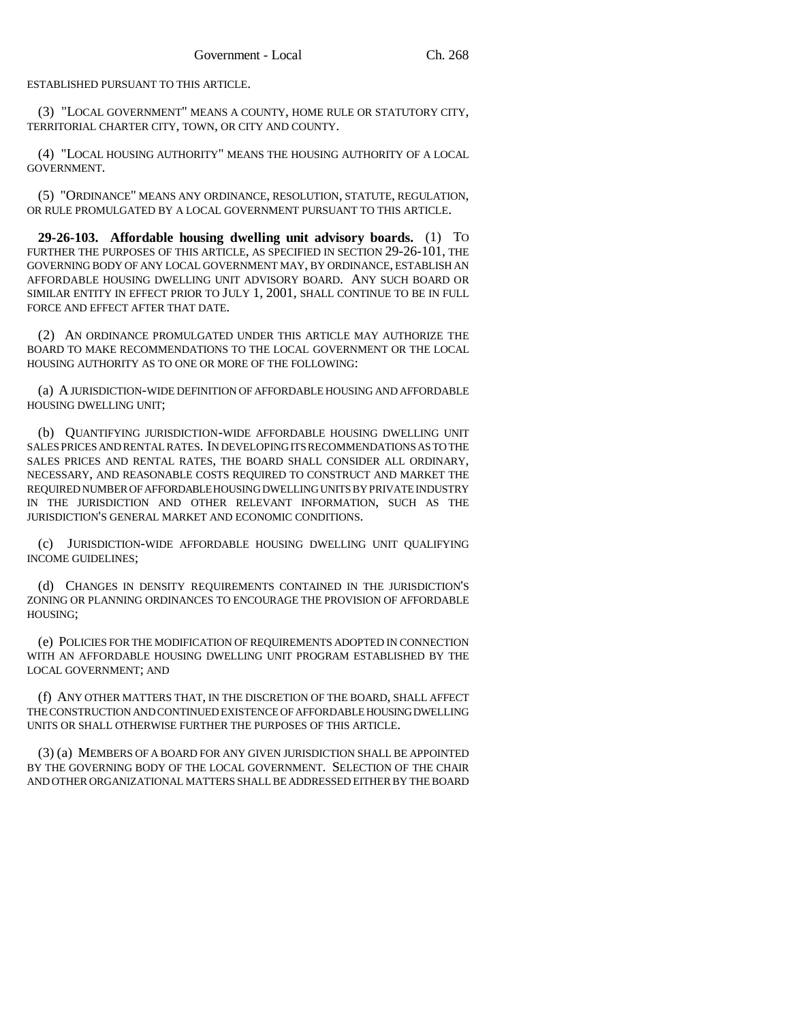ESTABLISHED PURSUANT TO THIS ARTICLE.

(3) "LOCAL GOVERNMENT" MEANS A COUNTY, HOME RULE OR STATUTORY CITY, TERRITORIAL CHARTER CITY, TOWN, OR CITY AND COUNTY.

(4) "LOCAL HOUSING AUTHORITY" MEANS THE HOUSING AUTHORITY OF A LOCAL GOVERNMENT.

(5) "ORDINANCE" MEANS ANY ORDINANCE, RESOLUTION, STATUTE, REGULATION, OR RULE PROMULGATED BY A LOCAL GOVERNMENT PURSUANT TO THIS ARTICLE.

**29-26-103. Affordable housing dwelling unit advisory boards.** (1) TO FURTHER THE PURPOSES OF THIS ARTICLE, AS SPECIFIED IN SECTION 29-26-101, THE GOVERNING BODY OF ANY LOCAL GOVERNMENT MAY, BY ORDINANCE, ESTABLISH AN AFFORDABLE HOUSING DWELLING UNIT ADVISORY BOARD. ANY SUCH BOARD OR SIMILAR ENTITY IN EFFECT PRIOR TO JULY 1, 2001, SHALL CONTINUE TO BE IN FULL FORCE AND EFFECT AFTER THAT DATE.

(2) AN ORDINANCE PROMULGATED UNDER THIS ARTICLE MAY AUTHORIZE THE BOARD TO MAKE RECOMMENDATIONS TO THE LOCAL GOVERNMENT OR THE LOCAL HOUSING AUTHORITY AS TO ONE OR MORE OF THE FOLLOWING:

(a) A JURISDICTION-WIDE DEFINITION OF AFFORDABLE HOUSING AND AFFORDABLE HOUSING DWELLING UNIT;

(b) QUANTIFYING JURISDICTION-WIDE AFFORDABLE HOUSING DWELLING UNIT SALES PRICES AND RENTAL RATES. IN DEVELOPING ITS RECOMMENDATIONS AS TO THE SALES PRICES AND RENTAL RATES, THE BOARD SHALL CONSIDER ALL ORDINARY, NECESSARY, AND REASONABLE COSTS REQUIRED TO CONSTRUCT AND MARKET THE REQUIRED NUMBER OF AFFORDABLE HOUSING DWELLING UNITS BY PRIVATE INDUSTRY IN THE JURISDICTION AND OTHER RELEVANT INFORMATION, SUCH AS THE JURISDICTION'S GENERAL MARKET AND ECONOMIC CONDITIONS.

(c) JURISDICTION-WIDE AFFORDABLE HOUSING DWELLING UNIT QUALIFYING INCOME GUIDELINES;

(d) CHANGES IN DENSITY REQUIREMENTS CONTAINED IN THE JURISDICTION'S ZONING OR PLANNING ORDINANCES TO ENCOURAGE THE PROVISION OF AFFORDABLE HOUSING;

(e) POLICIES FOR THE MODIFICATION OF REQUIREMENTS ADOPTED IN CONNECTION WITH AN AFFORDABLE HOUSING DWELLING UNIT PROGRAM ESTABLISHED BY THE LOCAL GOVERNMENT; AND

(f) ANY OTHER MATTERS THAT, IN THE DISCRETION OF THE BOARD, SHALL AFFECT THE CONSTRUCTION AND CONTINUED EXISTENCE OF AFFORDABLE HOUSING DWELLING UNITS OR SHALL OTHERWISE FURTHER THE PURPOSES OF THIS ARTICLE.

(3) (a) MEMBERS OF A BOARD FOR ANY GIVEN JURISDICTION SHALL BE APPOINTED BY THE GOVERNING BODY OF THE LOCAL GOVERNMENT. SELECTION OF THE CHAIR AND OTHER ORGANIZATIONAL MATTERS SHALL BE ADDRESSED EITHER BY THE BOARD